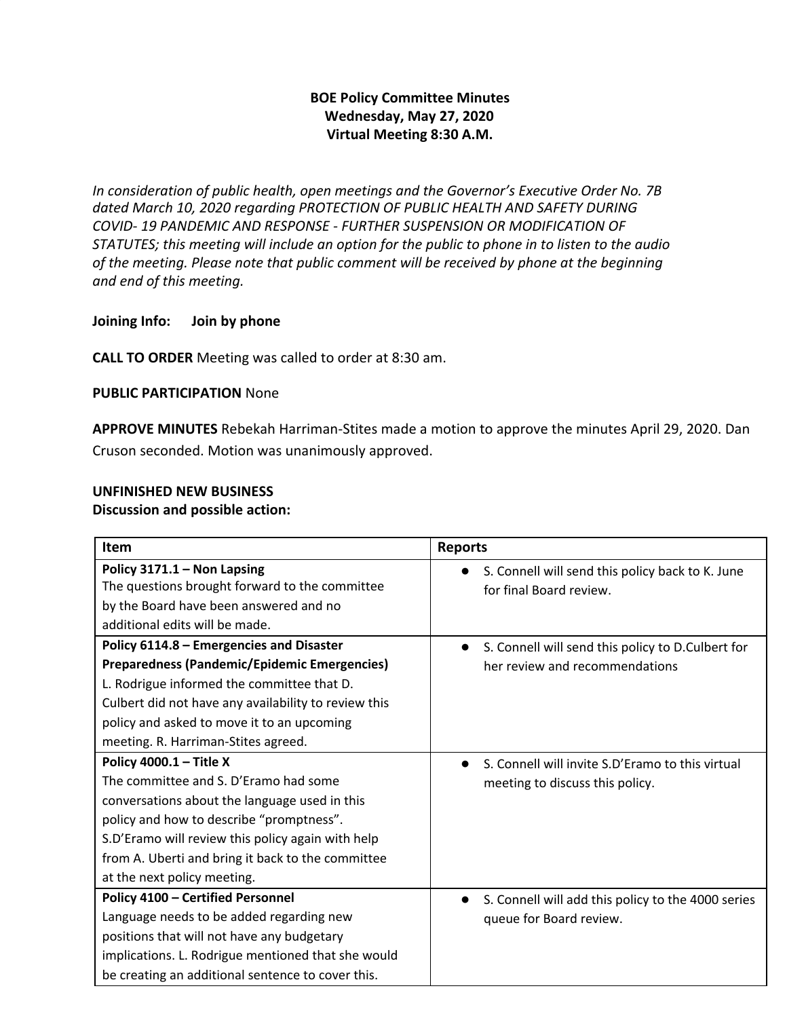# **BOE Policy Committee Minutes Wednesday, May 27, 2020 Virtual Meeting 8:30 A.M.**

*In consideration of public health, open meetings and the Governor's Executive Order No. 7B dated March 10, 2020 regarding PROTECTION OF PUBLIC HEALTH AND SAFETY DURING COVID- 19 PANDEMIC AND RESPONSE - FURTHER SUSPENSION OR MODIFICATION OF STATUTES; this meeting will include an option for the public to phone in to listen to the audio of the meeting. Please note that public comment will be received by phone at the beginning and end of this meeting.*

## **Joining Info: Join by phone**

**CALL TO ORDER** Meeting was called to order at 8:30 am.

### **PUBLIC PARTICIPATION** None

**APPROVE MINUTES** Rebekah Harriman-Stites made a motion to approve the minutes April 29, 2020. Dan Cruson seconded. Motion was unanimously approved.

## **UNFINISHED NEW BUSINESS Discussion and possible action:**

| Item                                                                                                                                                                                                                                                                                                   | <b>Reports</b>                                                                                   |
|--------------------------------------------------------------------------------------------------------------------------------------------------------------------------------------------------------------------------------------------------------------------------------------------------------|--------------------------------------------------------------------------------------------------|
| Policy 3171.1 - Non Lapsing<br>The questions brought forward to the committee<br>by the Board have been answered and no<br>additional edits will be made.                                                                                                                                              | S. Connell will send this policy back to K. June<br>for final Board review.                      |
| Policy 6114.8 - Emergencies and Disaster<br>Preparedness (Pandemic/Epidemic Emergencies)<br>L. Rodrigue informed the committee that D.<br>Culbert did not have any availability to review this<br>policy and asked to move it to an upcoming<br>meeting. R. Harriman-Stites agreed.                    | S. Connell will send this policy to D.Culbert for<br>$\bullet$<br>her review and recommendations |
| Policy 4000.1 - Title X<br>The committee and S. D'Eramo had some<br>conversations about the language used in this<br>policy and how to describe "promptness".<br>S.D'Eramo will review this policy again with help<br>from A. Uberti and bring it back to the committee<br>at the next policy meeting. | S. Connell will invite S.D'Eramo to this virtual<br>meeting to discuss this policy.              |
| <b>Policy 4100 - Certified Personnel</b><br>Language needs to be added regarding new<br>positions that will not have any budgetary<br>implications. L. Rodrigue mentioned that she would<br>be creating an additional sentence to cover this.                                                          | S. Connell will add this policy to the 4000 series<br>queue for Board review.                    |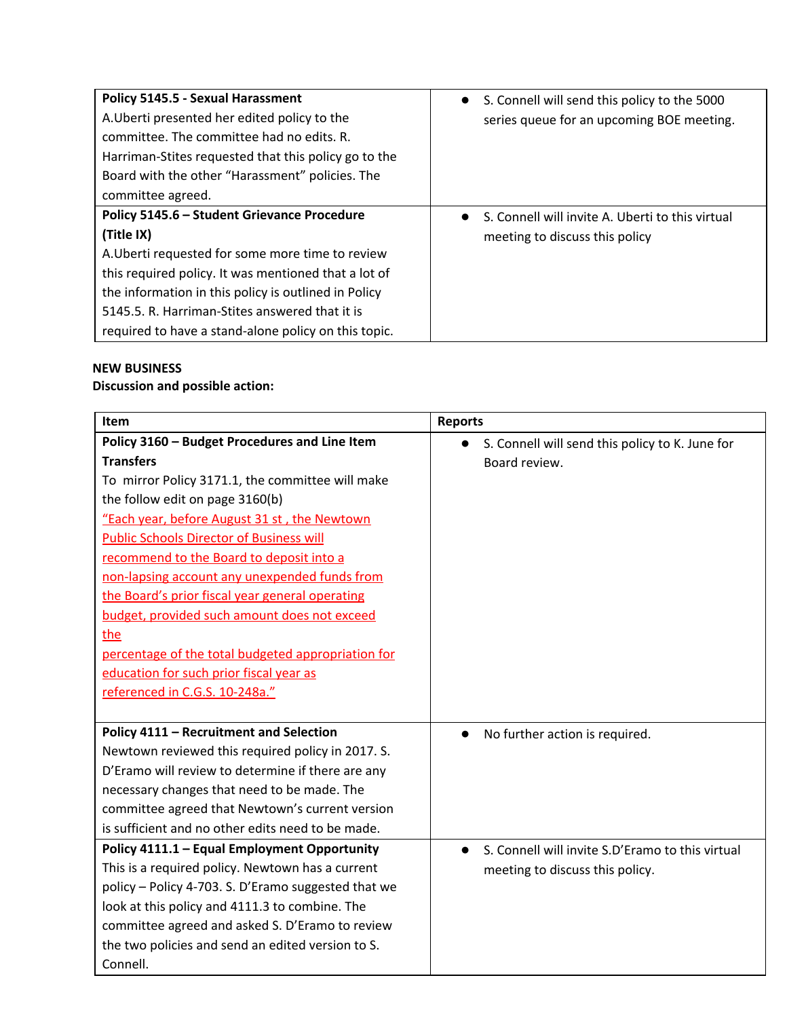| Policy 5145.5 - Sexual Harassment<br>A. Uberti presented her edited policy to the<br>committee. The committee had no edits. R.<br>Harriman-Stites requested that this policy go to the<br>Board with the other "Harassment" policies. The<br>committee agreed.                                                                          | • S. Connell will send this policy to the 5000<br>series queue for an upcoming BOE meeting. |
|-----------------------------------------------------------------------------------------------------------------------------------------------------------------------------------------------------------------------------------------------------------------------------------------------------------------------------------------|---------------------------------------------------------------------------------------------|
| Policy 5145.6 - Student Grievance Procedure<br>(Title IX)<br>A. Uberti requested for some more time to review<br>this required policy. It was mentioned that a lot of<br>the information in this policy is outlined in Policy<br>5145.5. R. Harriman-Stites answered that it is<br>required to have a stand-alone policy on this topic. | S. Connell will invite A. Uberti to this virtual<br>meeting to discuss this policy          |

# **NEW BUSINESS**

# **Discussion and possible action:**

| Item                                                | <b>Reports</b>                                                |
|-----------------------------------------------------|---------------------------------------------------------------|
| Policy 3160 - Budget Procedures and Line Item       | S. Connell will send this policy to K. June for<br>$\bullet$  |
| <b>Transfers</b>                                    | Board review.                                                 |
| To mirror Policy 3171.1, the committee will make    |                                                               |
| the follow edit on page 3160(b)                     |                                                               |
| "Each year, before August 31 st, the Newtown        |                                                               |
| <b>Public Schools Director of Business will</b>     |                                                               |
| recommend to the Board to deposit into a            |                                                               |
| non-lapsing account any unexpended funds from       |                                                               |
| the Board's prior fiscal year general operating     |                                                               |
| budget, provided such amount does not exceed        |                                                               |
| the                                                 |                                                               |
| percentage of the total budgeted appropriation for  |                                                               |
| education for such prior fiscal year as             |                                                               |
| referenced in C.G.S. 10-248a."                      |                                                               |
|                                                     |                                                               |
| Policy 4111 - Recruitment and Selection             | No further action is required.<br>$\bullet$                   |
| Newtown reviewed this required policy in 2017. S.   |                                                               |
| D'Eramo will review to determine if there are any   |                                                               |
| necessary changes that need to be made. The         |                                                               |
| committee agreed that Newtown's current version     |                                                               |
| is sufficient and no other edits need to be made.   |                                                               |
| Policy 4111.1 - Equal Employment Opportunity        | S. Connell will invite S.D'Eramo to this virtual<br>$\bullet$ |
| This is a required policy. Newtown has a current    | meeting to discuss this policy.                               |
| policy - Policy 4-703. S. D'Eramo suggested that we |                                                               |
| look at this policy and 4111.3 to combine. The      |                                                               |
| committee agreed and asked S. D'Eramo to review     |                                                               |
| the two policies and send an edited version to S.   |                                                               |
| Connell.                                            |                                                               |